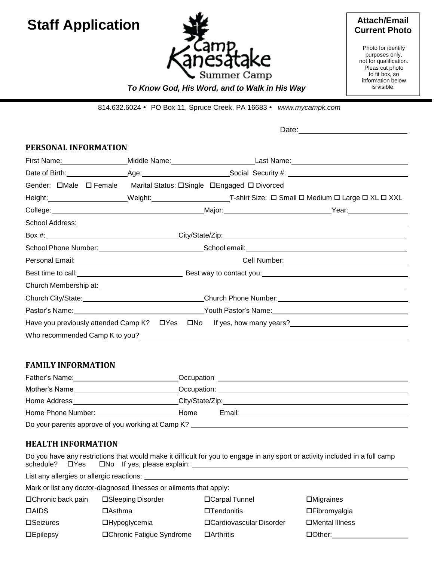# **Staff Application**



### **Attach/Email Current Photo**

Photo for identify purposes only, not for qualification. Pleas cut photo to fit box, so information below Is visible.

## *To Know God, His Word, and to Walk in His Way*

814.632.6024 PO Box 11, Spruce Creek, PA 16683 *[www.mycampk.com](http://www.mycampk.com/)*

Date: experience of the set of the set of the set of the set of the set of the set of the set of the set of the set of the set of the set of the set of the set of the set of the set of the set of the set of the set of the

### **PERSONAL INFORMATION**

| First Name: Mannell Allen Mannell Allen Mannell Allen Mannell Allen Mannell Allen Mannell Allen Mannell Allen                                                                                                                    |                                                                                                                                                                                                                                |  |  |                                                                                                                        |
|----------------------------------------------------------------------------------------------------------------------------------------------------------------------------------------------------------------------------------|--------------------------------------------------------------------------------------------------------------------------------------------------------------------------------------------------------------------------------|--|--|------------------------------------------------------------------------------------------------------------------------|
|                                                                                                                                                                                                                                  |                                                                                                                                                                                                                                |  |  |                                                                                                                        |
|                                                                                                                                                                                                                                  | Gender: DMale D Female Marital Status: DSingle DEngaged D Divorced                                                                                                                                                             |  |  |                                                                                                                        |
|                                                                                                                                                                                                                                  |                                                                                                                                                                                                                                |  |  |                                                                                                                        |
|                                                                                                                                                                                                                                  |                                                                                                                                                                                                                                |  |  | College: <u>National Major: National Magness of Assaurance College:</u> Near: Near: Near: Near: Near: Near: Near: Near |
|                                                                                                                                                                                                                                  |                                                                                                                                                                                                                                |  |  |                                                                                                                        |
|                                                                                                                                                                                                                                  | School Address: Note and the set of the set of the set of the set of the set of the set of the set of the set of the set of the set of the set of the set of the set of the set of the set of the set of the set of the set of |  |  |                                                                                                                        |
|                                                                                                                                                                                                                                  |                                                                                                                                                                                                                                |  |  |                                                                                                                        |
|                                                                                                                                                                                                                                  |                                                                                                                                                                                                                                |  |  |                                                                                                                        |
|                                                                                                                                                                                                                                  |                                                                                                                                                                                                                                |  |  |                                                                                                                        |
|                                                                                                                                                                                                                                  |                                                                                                                                                                                                                                |  |  |                                                                                                                        |
| Church City/State: <u>Church Phone Number:</u> Church Phone Number: Church Phone Number:                                                                                                                                         |                                                                                                                                                                                                                                |  |  |                                                                                                                        |
| Pastor's Name: Name: Name and National Association of Pastor's Name: Name: Name and Name and Name and Name and N                                                                                                                 |                                                                                                                                                                                                                                |  |  |                                                                                                                        |
|                                                                                                                                                                                                                                  |                                                                                                                                                                                                                                |  |  |                                                                                                                        |
| Who recommended Camp K to you?<br>Solution of the state of the state of the state of the state of the state of the state of the state of the state of the state of the state of the state of the state of the state of the state |                                                                                                                                                                                                                                |  |  |                                                                                                                        |

## **FAMILY INFORMATION**

| Father's Name:                                    | Occupation:     |  |  |
|---------------------------------------------------|-----------------|--|--|
| Mother's Name:                                    | Occupation:     |  |  |
| Home Address:                                     | City/State/Zip: |  |  |
| Home Phone Number:                                | Email:<br>Home  |  |  |
| Do your parents approve of you working at Camp K? |                 |  |  |

## **HEALTH INFORMATION**

Do you have any restrictions that would make it difficult for you to engage in any sport or activity included in a full camp schedule?  $\Box$  Yes  $\Box$  No If yes, please explain: \_\_\_\_\_\_\_\_\_\_\_\_\_\_\_\_\_\_\_\_\_\_\_\_\_\_\_\_\_

List any allergies or allergic reactions: \_

Mark or list any doctor-diagnosed illnesses or ailments that apply:

| □ Chronic back pain | □Sleeping Disorder         | □ Carpal Tunnel           | $\Box$ Migraines |
|---------------------|----------------------------|---------------------------|------------------|
| <b>DAIDS</b>        | ⊟Asthma                    | $\square$ Tendonitis      | □Fibromyalgia    |
| $\square$ Seizures  | □Hypoglycemia              | □ Cardiovascular Disorder | □Mental Illness  |
| $\square$ Epilepsy  | □ Chronic Fatigue Syndrome | □Arthritis                | $\Box$ Other:    |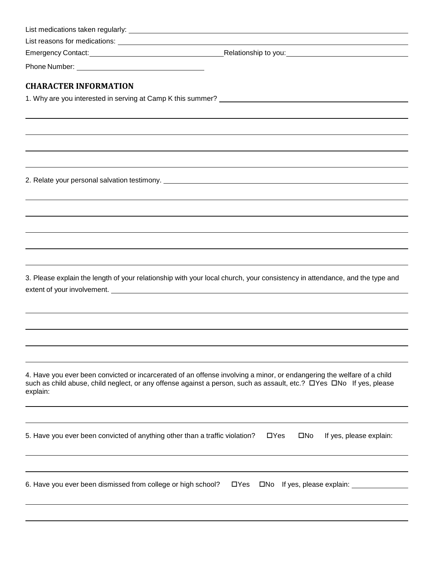| <b>CHARACTER INFORMATION</b>                                                                                                                                                                                                                              |                                                        |
|-----------------------------------------------------------------------------------------------------------------------------------------------------------------------------------------------------------------------------------------------------------|--------------------------------------------------------|
|                                                                                                                                                                                                                                                           |                                                        |
|                                                                                                                                                                                                                                                           |                                                        |
|                                                                                                                                                                                                                                                           |                                                        |
|                                                                                                                                                                                                                                                           |                                                        |
|                                                                                                                                                                                                                                                           |                                                        |
|                                                                                                                                                                                                                                                           |                                                        |
|                                                                                                                                                                                                                                                           |                                                        |
|                                                                                                                                                                                                                                                           |                                                        |
|                                                                                                                                                                                                                                                           |                                                        |
|                                                                                                                                                                                                                                                           |                                                        |
|                                                                                                                                                                                                                                                           |                                                        |
|                                                                                                                                                                                                                                                           |                                                        |
|                                                                                                                                                                                                                                                           |                                                        |
|                                                                                                                                                                                                                                                           |                                                        |
| 3. Please explain the length of your relationship with your local church, your consistency in attendance, and the type and<br>extent of your involvement. The contract of the contract of the contract of your involvement.                               |                                                        |
|                                                                                                                                                                                                                                                           |                                                        |
|                                                                                                                                                                                                                                                           |                                                        |
|                                                                                                                                                                                                                                                           |                                                        |
|                                                                                                                                                                                                                                                           |                                                        |
| 4. Have you ever been convicted or incarcerated of an offense involving a minor, or endangering the welfare of a child<br>such as child abuse, child neglect, or any offense against a person, such as assault, etc.? □Yes □No If yes, please<br>explain: |                                                        |
| 5. Have you ever been convicted of anything other than a traffic violation?                                                                                                                                                                               | $\Box$ Yes<br>If yes, please explain:<br>$\square$ No  |
| 6. Have you ever been dismissed from college or high school?                                                                                                                                                                                              | $\Box$ Yes<br>□No If yes, please explain: ____________ |
|                                                                                                                                                                                                                                                           |                                                        |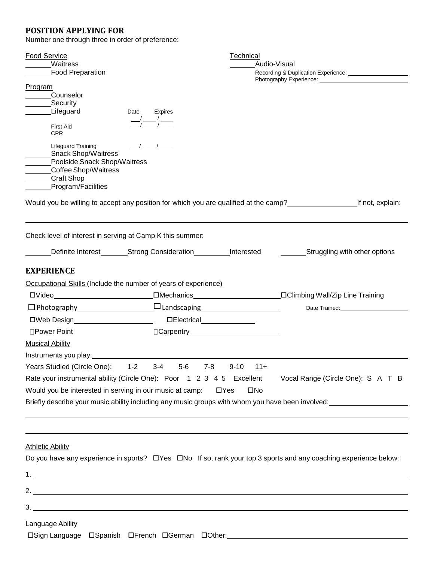## **POSITION APPLYING FOR**

Number one through three in order of preference:

| <b>Food Service</b>                                                                                                                          |                                                                                                                  | Technical                                                                               |                                                                                                                   |  |
|----------------------------------------------------------------------------------------------------------------------------------------------|------------------------------------------------------------------------------------------------------------------|-----------------------------------------------------------------------------------------|-------------------------------------------------------------------------------------------------------------------|--|
| Waitress<br><b>Food Preparation</b>                                                                                                          |                                                                                                                  | Audio-Visual<br>Recording & Duplication Experience: Necording & Duplication Experience: |                                                                                                                   |  |
| Program<br>Counselor<br>Security<br>Lifeguard<br>Date                                                                                        | Expires                                                                                                          |                                                                                         |                                                                                                                   |  |
| <b>First Aid</b><br><b>CPR</b>                                                                                                               | $-\frac{1}{2}$ $-\frac{1}{2}$                                                                                    |                                                                                         |                                                                                                                   |  |
| Lifeguard Training<br>Snack Shop/Waitress<br>Poolside Snack Shop/Waitress<br>Coffee Shop/Waitress<br><b>Craft Shop</b><br>Program/Facilities | $\frac{\hphantom{a}}{\hphantom{a}}\frac{1}{\hphantom{a}}\frac{\hphantom{a}}{\hphantom{a}}\frac{1}{\hphantom{a}}$ |                                                                                         |                                                                                                                   |  |
| Would you be willing to accept any position for which you are qualified at the camp?                                                         |                                                                                                                  |                                                                                         | If not, explain:                                                                                                  |  |
| Check level of interest in serving at Camp K this summer:                                                                                    |                                                                                                                  |                                                                                         |                                                                                                                   |  |
| Definite Interest_________Strong Consideration__________Interested                                                                           |                                                                                                                  |                                                                                         | __Struggling with other options                                                                                   |  |
| <b>EXPERIENCE</b>                                                                                                                            |                                                                                                                  |                                                                                         |                                                                                                                   |  |
| Occupational Skills (Include the number of years of experience)                                                                              |                                                                                                                  |                                                                                         |                                                                                                                   |  |
|                                                                                                                                              |                                                                                                                  |                                                                                         |                                                                                                                   |  |
| $\Box$ Photography $\Box$ Landscaping $\Box$                                                                                                 |                                                                                                                  |                                                                                         | Date Trained:<br><u> </u>                                                                                         |  |
| □Web Design______________________                                                                                                            |                                                                                                                  |                                                                                         |                                                                                                                   |  |
| □Power Point                                                                                                                                 |                                                                                                                  |                                                                                         |                                                                                                                   |  |
| <b>Musical Ability</b>                                                                                                                       |                                                                                                                  |                                                                                         |                                                                                                                   |  |
| Instruments you play: 1999-1999 and 1999-1999 and 1999-1999 and 1999-1999 and 1999-1999 and 1999-199                                         |                                                                                                                  |                                                                                         |                                                                                                                   |  |
| Years Studied (Circle One):<br>$1 - 2$                                                                                                       | $3-4$<br>$5-6$<br>7-8                                                                                            | $9 - 10$<br>$11+$                                                                       |                                                                                                                   |  |
| Rate your instrumental ability (Circle One): Poor 1 2 3 4 5 Excellent                                                                        |                                                                                                                  |                                                                                         | Vocal Range (Circle One): S A T B                                                                                 |  |
| Would you be interested in serving in our music at camp:                                                                                     |                                                                                                                  | $\square$ No<br>$\Box$ Yes                                                              |                                                                                                                   |  |
|                                                                                                                                              |                                                                                                                  |                                                                                         | Briefly describe your music ability including any music groups with whom you have been involved:                  |  |
|                                                                                                                                              |                                                                                                                  |                                                                                         |                                                                                                                   |  |
| <b>Athletic Ability</b>                                                                                                                      |                                                                                                                  |                                                                                         |                                                                                                                   |  |
|                                                                                                                                              |                                                                                                                  |                                                                                         | Do you have any experience in sports? □ Yes □ No If so, rank your top 3 sports and any coaching experience below: |  |
|                                                                                                                                              |                                                                                                                  |                                                                                         |                                                                                                                   |  |
|                                                                                                                                              |                                                                                                                  |                                                                                         |                                                                                                                   |  |
|                                                                                                                                              |                                                                                                                  |                                                                                         |                                                                                                                   |  |
| Language Ability                                                                                                                             |                                                                                                                  |                                                                                         |                                                                                                                   |  |
| □Sign Language □Spanish □French □German □Other: ________________________________                                                             |                                                                                                                  |                                                                                         |                                                                                                                   |  |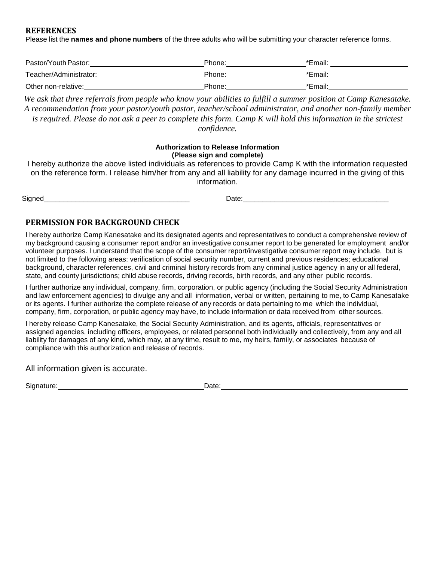#### **REFERENCES**

Please list the **names and phone numbers** of the three adults who will be submitting your character reference forms.

| Pastor/Youth Pastor:   | Phone: | *Email: |
|------------------------|--------|---------|
| Teacher/Administrator: | Phone: | *Email: |
| Other non-relative:    | Phone: | *Email: |

*We ask that three referrals from people who know your abilities to fulfill a summer position at Camp Kanesatake. A recommendation from your pastor/youth pastor, teacher/school administrator, and another non-family member is required. Please do not ask a peer to complete this form. Camp K will hold this information in the strictest confidence.* 

#### **Authorization to Release Information (Please sign and complete)**

I hereby authorize the above listed individuals as references to provide Camp K with the information requested on the reference form. I release him/her from any and all liability for any damage incurred in the giving of this information.

| Signed |  |  |  |
|--------|--|--|--|
|        |  |  |  |

Signed\_\_\_\_\_\_\_\_\_\_\_\_\_\_\_\_\_\_\_\_\_\_\_\_\_\_\_\_\_\_\_\_\_\_\_\_\_ Date:\_\_\_\_\_\_\_\_\_\_\_\_\_\_\_\_\_\_\_\_\_\_\_\_\_\_\_\_\_\_\_\_\_\_\_\_\_

## **PERMISSION FOR BACKGROUND CHECK**

I hereby authorize Camp Kanesatake and its designated agents and representatives to conduct a comprehensive review of my background causing a consumer report and/or an investigative consumer report to be generated for employment and/or volunteer purposes. I understand that the scope of the consumer report/investigative consumer report may include, but is not limited to the following areas: verification of social security number, current and previous residences; educational background, character references, civil and criminal history records from any criminal justice agency in any or all federal, state, and county jurisdictions; child abuse records, driving records, birth records, and any other public records.

I further authorize any individual, company, firm, corporation, or public agency (including the Social Security Administration and law enforcement agencies) to divulge any and all information, verbal or written, pertaining to me, to Camp Kanesatake or its agents. I further authorize the complete release of any records or data pertaining to me which the individual, company, firm, corporation, or public agency may have, to include information or data received from other sources.

I hereby release Camp Kanesatake, the Social Security Administration, and its agents, officials, representatives or assigned agencies, including officers, employees, or related personnel both individually and collectively, from any and all liability for damages of any kind, which may, at any time, result to me, my heirs, family, or associates because of compliance with this authorization and release of records.

All information given is accurate.

Signature: Date: Date: Date: Date: Date: Date: Date: Date: Date: Date: Date: Date: Date: Date: Date: Date: Date: Date: Date: Date: Date: Date: Date: Date: Date: Date: Date: Date: Date: Date: Date: Date: Date: Date: Date: D